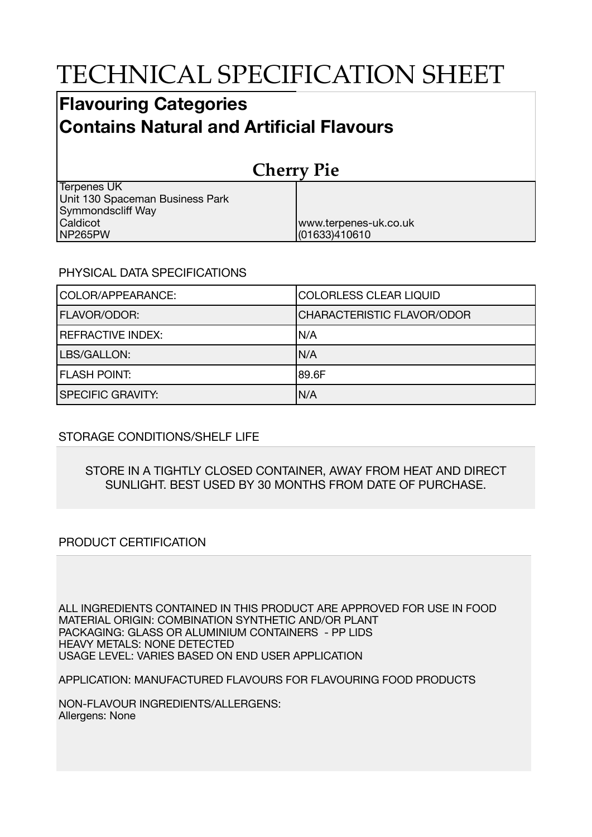# TECHNICAL SPECIFICATION SHEET

# **Flavouring Categories Contains Natural and Artificial Flavours**

| <b>Cherry Pie</b>               |                       |  |
|---------------------------------|-----------------------|--|
| Terpenes UK                     |                       |  |
| Unit 130 Spaceman Business Park |                       |  |
| Symmondscliff Way               |                       |  |
| Caldicot                        | www.terpenes-uk.co.uk |  |
| NP265PW                         | (01633)410610         |  |

## PHYSICAL DATA SPECIFICATIONS

| COLOR/APPEARANCE:        | <b>COLORLESS CLEAR LIQUID</b>     |  |
|--------------------------|-----------------------------------|--|
| <b>FLAVOR/ODOR:</b>      | <b>CHARACTERISTIC FLAVOR/ODOR</b> |  |
| <b>REFRACTIVE INDEX:</b> | IN/A                              |  |
| LBS/GALLON:              | IN/A                              |  |
| <b>FLASH POINT:</b>      | 189.6F                            |  |
| <b>SPECIFIC GRAVITY:</b> | N/A                               |  |

# STORAGE CONDITIONS/SHELF LIFE

## STORE IN A TIGHTLY CLOSED CONTAINER, AWAY FROM HEAT AND DIRECT SUNLIGHT. BEST USED BY 30 MONTHS FROM DATE OF PURCHASE.

## PRODUCT CERTIFICATION

ALL INGREDIENTS CONTAINED IN THIS PRODUCT ARE APPROVED FOR USE IN FOOD MATERIAL ORIGIN: COMBINATION SYNTHETIC AND/OR PLANT PACKAGING: GLASS OR ALUMINIUM CONTAINERS - PP LIDS HEAVY METALS: NONE DETECTED USAGE LEVEL: VARIES BASED ON END USER APPLICATION

APPLICATION: MANUFACTURED FLAVOURS FOR FLAVOURING FOOD PRODUCTS

NON-FLAVOUR INGREDIENTS/ALLERGENS: Allergens: None